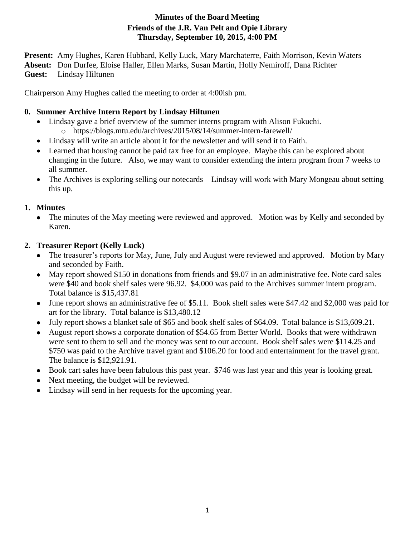## **Minutes of the Board Meeting Friends of the J.R. Van Pelt and Opie Library Thursday, September 10, 2015, 4:00 PM**

**Present:** Amy Hughes, Karen Hubbard, Kelly Luck, Mary Marchaterre, Faith Morrison, Kevin Waters **Absent:** Don Durfee, Eloise Haller, Ellen Marks, Susan Martin, Holly Nemiroff, Dana Richter **Guest:** Lindsay Hiltunen

Chairperson Amy Hughes called the meeting to order at 4:00ish pm.

## **0. Summer Archive Intern Report by Lindsay Hiltunen**

- Lindsay gave a brief overview of the summer interns program with Alison Fukuchi. o https://blogs.mtu.edu/archives/2015/08/14/summer-intern-farewell/
- Lindsay will write an article about it for the newsletter and will send it to Faith.
- Learned that housing cannot be paid tax free for an employee. Maybe this can be explored about changing in the future. Also, we may want to consider extending the intern program from 7 weeks to all summer.
- The Archives is exploring selling our notecards Lindsay will work with Mary Mongeau about setting this up.

# **1. Minutes**

• The minutes of the May meeting were reviewed and approved. Motion was by Kelly and seconded by Karen.

# **2. Treasurer Report (Kelly Luck)**

- The treasurer's reports for May, June, July and August were reviewed and approved. Motion by Mary and seconded by Faith.
- May report showed \$150 in donations from friends and \$9.07 in an administrative fee. Note card sales were \$40 and book shelf sales were 96.92. \$4,000 was paid to the Archives summer intern program. Total balance is \$15,437.81
- June report shows an administrative fee of \$5.11. Book shelf sales were \$47.42 and \$2,000 was paid for art for the library. Total balance is \$13,480.12
- July report shows a blanket sale of \$65 and book shelf sales of \$64.09. Total balance is \$13,609.21.
- August report shows a corporate donation of \$54.65 from Better World. Books that were withdrawn were sent to them to sell and the money was sent to our account. Book shelf sales were \$114.25 and \$750 was paid to the Archive travel grant and \$106.20 for food and entertainment for the travel grant. The balance is \$12,921.91.
- Book cart sales have been fabulous this past year. \$746 was last year and this year is looking great.
- Next meeting, the budget will be reviewed.
- Lindsay will send in her requests for the upcoming year.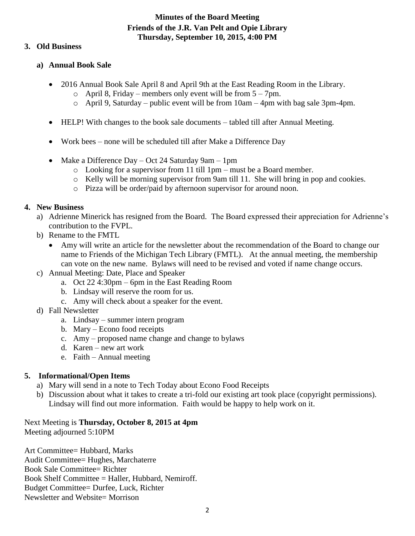#### **Minutes of the Board Meeting Friends of the J.R. Van Pelt and Opie Library Thursday, September 10, 2015, 4:00 PM**

#### **3. Old Business**

#### **a) Annual Book Sale**

- 2016 Annual Book Sale April 8 and April 9th at the East Reading Room in the Library.
	- $\circ$  April 8, Friday members only event will be from  $5 7$ pm.
	- $\circ$  April 9, Saturday public event will be from  $10 \text{am} 4 \text{pm}$  with bag sale 3pm-4pm.
- HELP! With changes to the book sale documents tabled till after Annual Meeting.
- Work bees none will be scheduled till after Make a Difference Day
- Make a Difference Day Oct 24 Saturday 9am 1pm
	- o Looking for a supervisor from 11 till 1pm must be a Board member.
	- o Kelly will be morning supervisor from 9am till 11. She will bring in pop and cookies.
	- o Pizza will be order/paid by afternoon supervisor for around noon.

#### **4. New Business**

- a) Adrienne Minerick has resigned from the Board. The Board expressed their appreciation for Adrienne's contribution to the FVPL.
- b) Rename to the FMTL
	- Amy will write an article for the newsletter about the recommendation of the Board to change our name to Friends of the Michigan Tech Library (FMTL). At the annual meeting, the membership can vote on the new name. Bylaws will need to be revised and voted if name change occurs.
- c) Annual Meeting: Date, Place and Speaker
	- a. Oct 22 4:30pm 6pm in the East Reading Room
	- b. Lindsay will reserve the room for us.
	- c. Amy will check about a speaker for the event.
- d) Fall Newsletter
	- a. Lindsay summer intern program
	- b. Mary Econo food receipts
	- c. Amy proposed name change and change to bylaws
	- d. Karen new art work
	- e. Faith Annual meeting

## **5. Informational/Open Items**

- a) Mary will send in a note to Tech Today about Econo Food Receipts
- b) Discussion about what it takes to create a tri-fold our existing art took place (copyright permissions). Lindsay will find out more information. Faith would be happy to help work on it.

Next Meeting is **Thursday, October 8, 2015 at 4pm** Meeting adjourned 5:10PM

Art Committee= Hubbard, Marks Audit Committee= Hughes, Marchaterre Book Sale Committee= Richter Book Shelf Committee = Haller, Hubbard, Nemiroff. Budget Committee= Durfee, Luck, Richter Newsletter and Website= Morrison